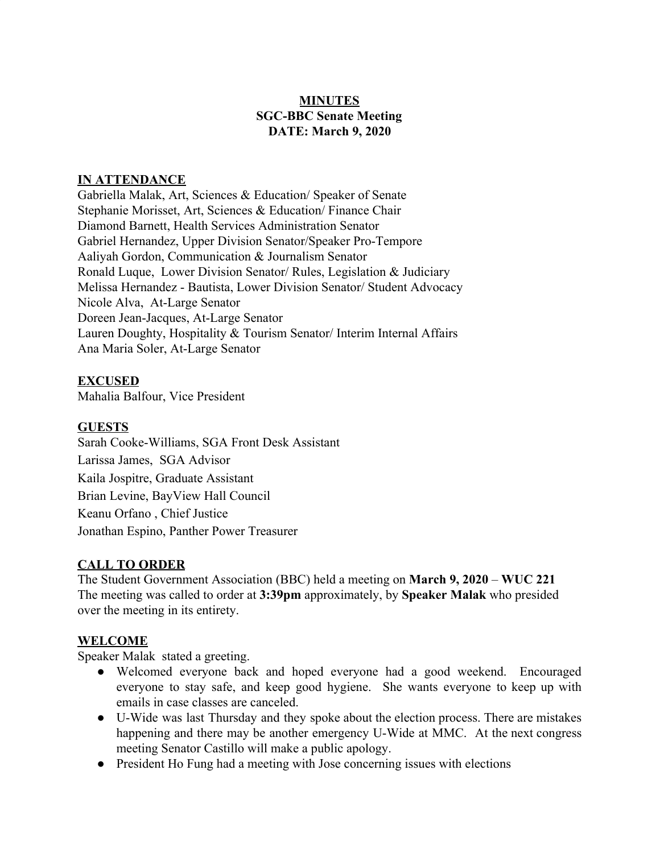# **MINUTES SGC-BBC Senate Meeting DATE: March 9, 2020**

### **IN ATTENDANCE**

Gabriella Malak, Art, Sciences & Education/ Speaker of Senate Stephanie Morisset, Art, Sciences & Education/ Finance Chair Diamond Barnett, Health Services Administration Senator Gabriel Hernandez, Upper Division Senator/Speaker Pro-Tempore Aaliyah Gordon, Communication & Journalism Senator Ronald Luque, Lower Division Senator/ Rules, Legislation & Judiciary Melissa Hernandez - Bautista, Lower Division Senator/ Student Advocacy Nicole Alva, At-Large Senator Doreen Jean-Jacques, At-Large Senator Lauren Doughty, Hospitality & Tourism Senator/ Interim Internal Affairs Ana Maria Soler, At-Large Senator

### **EXCUSED**

Mahalia Balfour, Vice President

#### **GUESTS**

Sarah Cooke-Williams, SGA Front Desk Assistant Larissa James, SGA Advisor Kaila Jospitre, Graduate Assistant Brian Levine, BayView Hall Council Keanu Orfano , Chief Justice Jonathan Espino, Panther Power Treasurer

## **CALL TO ORDER**

The Student Government Association (BBC) held a meeting on **March 9, 2020** – **WUC 221** The meeting was called to order at **3:39pm** approximately, by **Speaker Malak** who presided over the meeting in its entirety.

#### **WELCOME**

Speaker Malak stated a greeting.

- **●** Welcomed everyone back and hoped everyone had a good weekend. Encouraged everyone to stay safe, and keep good hygiene. She wants everyone to keep up with emails in case classes are canceled.
- U-Wide was last Thursday and they spoke about the election process. There are mistakes happening and there may be another emergency U-Wide at MMC. At the next congress meeting Senator Castillo will make a public apology.
- President Ho Fung had a meeting with Jose concerning issues with elections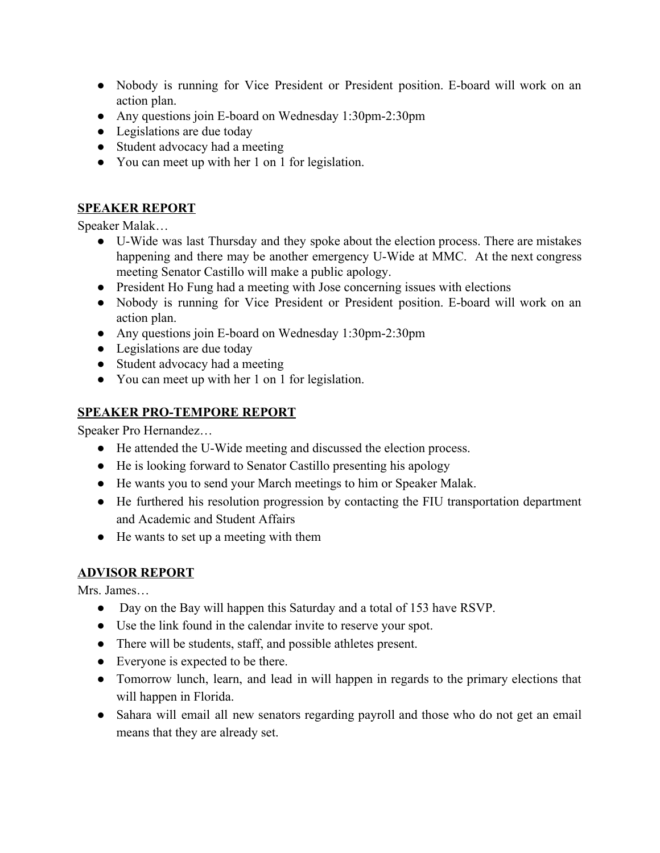- Nobody is running for Vice President or President position. E-board will work on an action plan.
- Any questions join E-board on Wednesday 1:30pm-2:30pm
- Legislations are due today
- Student advocacy had a meeting
- You can meet up with her 1 on 1 for legislation.

## **SPEAKER REPORT**

Speaker Malak…

- U-Wide was last Thursday and they spoke about the election process. There are mistakes happening and there may be another emergency U-Wide at MMC. At the next congress meeting Senator Castillo will make a public apology.
- President Ho Fung had a meeting with Jose concerning issues with elections
- Nobody is running for Vice President or President position. E-board will work on an action plan.
- Any questions join E-board on Wednesday 1:30pm-2:30pm
- Legislations are due today
- Student advocacy had a meeting
- You can meet up with her 1 on 1 for legislation.

# **SPEAKER PRO-TEMPORE REPORT**

Speaker Pro Hernandez…

- He attended the U-Wide meeting and discussed the election process.
- He is looking forward to Senator Castillo presenting his apology
- He wants you to send your March meetings to him or Speaker Malak.
- He furthered his resolution progression by contacting the FIU transportation department and Academic and Student Affairs
- He wants to set up a meeting with them

# **ADVISOR REPORT**

Mrs. James…

- Day on the Bay will happen this Saturday and a total of 153 have RSVP.
- Use the link found in the calendar invite to reserve your spot.
- There will be students, staff, and possible athletes present.
- Everyone is expected to be there.
- Tomorrow lunch, learn, and lead in will happen in regards to the primary elections that will happen in Florida.
- Sahara will email all new senators regarding payroll and those who do not get an email means that they are already set.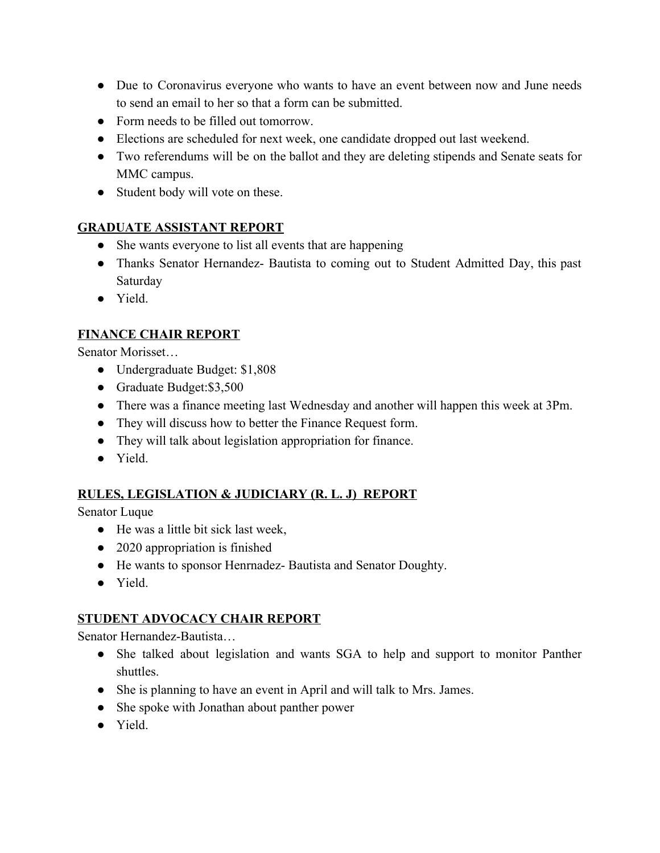- Due to Coronavirus everyone who wants to have an event between now and June needs to send an email to her so that a form can be submitted.
- Form needs to be filled out tomorrow.
- Elections are scheduled for next week, one candidate dropped out last weekend.
- Two referendums will be on the ballot and they are deleting stipends and Senate seats for MMC campus.
- Student body will vote on these.

# **GRADUATE ASSISTANT REPORT**

- She wants everyone to list all events that are happening
- Thanks Senator Hernandez- Bautista to coming out to Student Admitted Day, this past Saturday
- Yield.

# **FINANCE CHAIR REPORT**

Senator Morisset…

- Undergraduate Budget: \$1,808
- Graduate Budget:\$3,500
- There was a finance meeting last Wednesday and another will happen this week at 3Pm.
- They will discuss how to better the Finance Request form.
- They will talk about legislation appropriation for finance.
- Yield.

# **RULES, LEGISLATION & JUDICIARY (R. L. J) REPORT**

Senator Luque

- He was a little bit sick last week,
- 2020 appropriation is finished
- He wants to sponsor Henrnadez- Bautista and Senator Doughty.
- Yield.

# **STUDENT ADVOCACY CHAIR REPORT**

Senator Hernandez-Bautista…

- She talked about legislation and wants SGA to help and support to monitor Panther shuttles.
- She is planning to have an event in April and will talk to Mrs. James.
- She spoke with Jonathan about panther power
- Yield.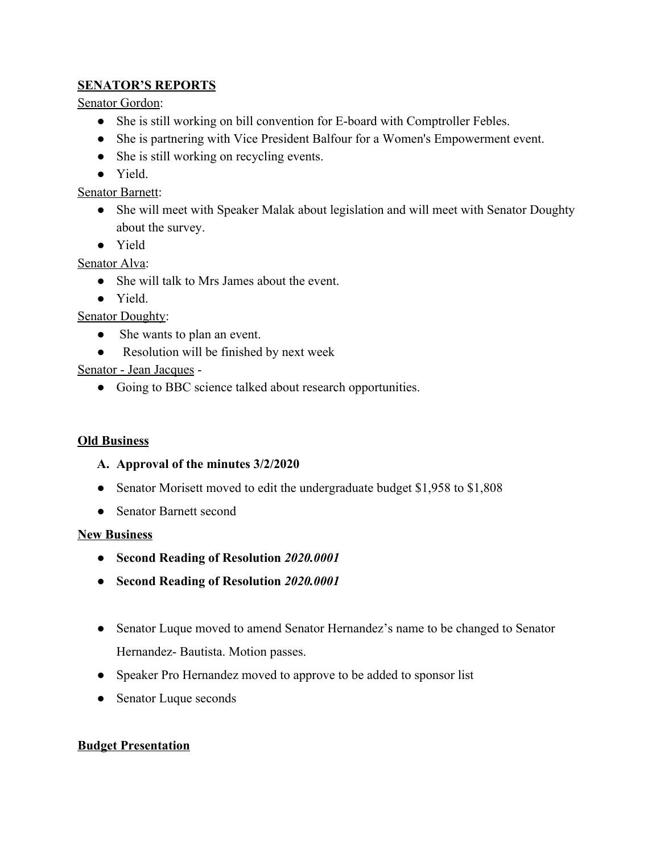# **SENATOR'S REPORTS**

Senator Gordon:

- She is still working on bill convention for E-board with Comptroller Febles.
- She is partnering with Vice President Balfour for a Women's Empowerment event.
- She is still working on recycling events.
- Yield.

Senator Barnett:

- She will meet with Speaker Malak about legislation and will meet with Senator Doughty about the survey.
- Yield

Senator Alva:

- She will talk to Mrs James about the event.
- Yield.

Senator Doughty:

- She wants to plan an event.
- Resolution will be finished by next week

Senator - Jean Jacques -

● Going to BBC science talked about research opportunities.

## **Old Business**

## **A. Approval of the minutes 3/2/2020**

- Senator Morisett moved to edit the undergraduate budget \$1,958 to \$1,808
- Senator Barnett second

## **New Business**

- **● Second Reading of Resolution** *2020.0001*
- **● Second Reading of Resolution** *2020.0001*
- Senator Luque moved to amend Senator Hernandez's name to be changed to Senator Hernandez- Bautista. Motion passes.
- Speaker Pro Hernandez moved to approve to be added to sponsor list
- Senator Luque seconds

## **Budget Presentation**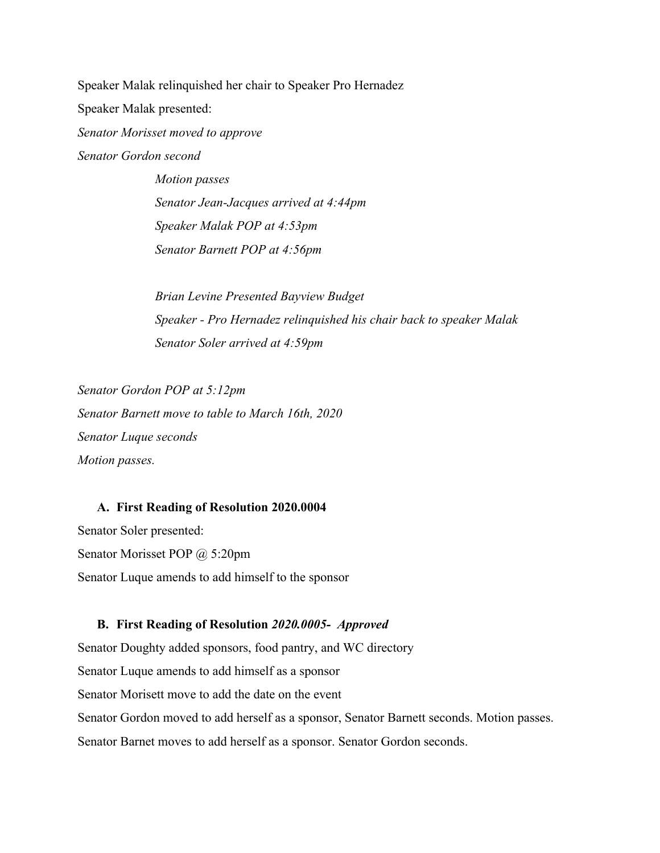Speaker Malak relinquished her chair to Speaker Pro Hernadez Speaker Malak presented: *Senator Morisset moved to approve Senator Gordon second*

> *Motion passes Senator Jean-Jacques arrived at 4:44pm Speaker Malak POP at 4:53pm Senator Barnett POP at 4:56pm*

*Brian Levine Presented Bayview Budget Speaker - Pro Hernadez relinquished his chair back to speaker Malak Senator Soler arrived at 4:59pm*

*Senator Gordon POP at 5:12pm Senator Barnett move to table to March 16th, 2020 Senator Luque seconds Motion passes.*

#### **A. First Reading of Resolution 2020.0004**

Senator Soler presented: Senator Morisset POP @ 5:20pm Senator Luque amends to add himself to the sponsor

#### **B. First Reading of Resolution** *2020.0005- Approved*

Senator Doughty added sponsors, food pantry, and WC directory Senator Luque amends to add himself as a sponsor Senator Morisett move to add the date on the event Senator Gordon moved to add herself as a sponsor, Senator Barnett seconds. Motion passes. Senator Barnet moves to add herself as a sponsor. Senator Gordon seconds.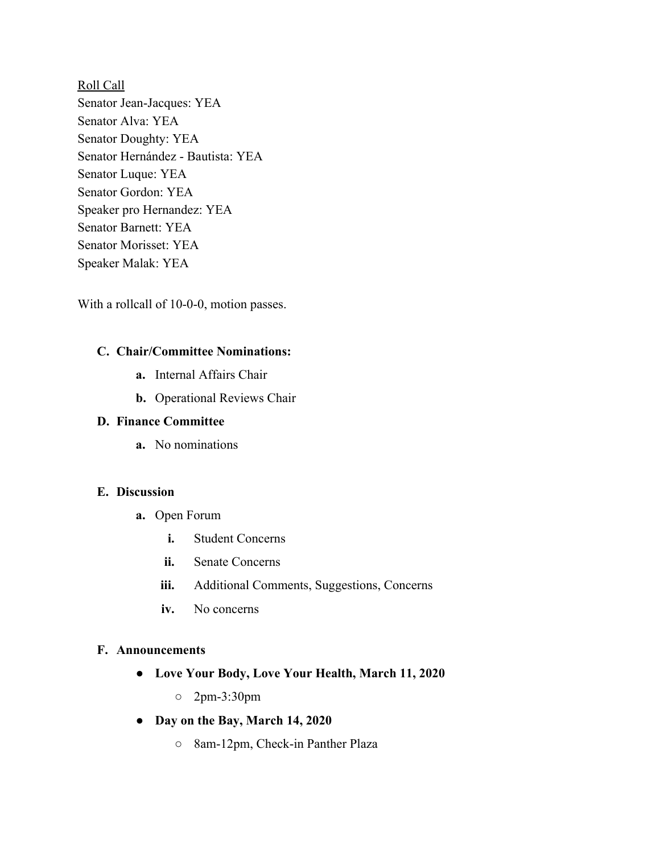Roll Call Senator Jean-Jacques: YEA Senator Alva: YEA Senator Doughty: YEA Senator Hernández - Bautista: YEA Senator Luque: YEA Senator Gordon: YEA Speaker pro Hernandez: YEA Senator Barnett: YEA Senator Morisset: YEA Speaker Malak: YEA

With a rollcall of 10-0-0, motion passes.

#### **C. Chair/Committee Nominations:**

- **a.** Internal Affairs Chair
- **b.** Operational Reviews Chair

#### **D. Finance Committee**

**a.** No nominations

#### **E. Discussion**

- **a.** Open Forum
	- **i.** Student Concerns
	- **ii.** Senate Concerns
	- **iii.** Additional Comments, Suggestions, Concerns
	- **iv.** No concerns

#### **F. Announcements**

- **● Love Your Body, Love Your Health, March 11, 2020**
	- 2pm-3:30pm
- **● Day on the Bay, March 14, 2020**
	- 8am-12pm, Check-in Panther Plaza